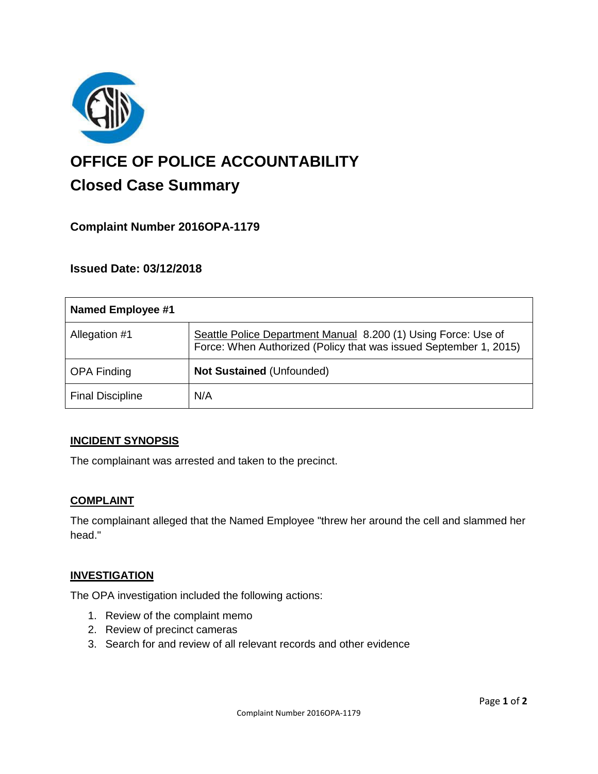

# **OFFICE OF POLICE ACCOUNTABILITY**

# **Closed Case Summary**

# **Complaint Number 2016OPA-1179**

# **Issued Date: 03/12/2018**

| Named Employee #1       |                                                                                                                                     |
|-------------------------|-------------------------------------------------------------------------------------------------------------------------------------|
| Allegation #1           | Seattle Police Department Manual 8.200 (1) Using Force: Use of<br>Force: When Authorized (Policy that was issued September 1, 2015) |
| <b>OPA Finding</b>      | Not Sustained (Unfounded)                                                                                                           |
| <b>Final Discipline</b> | N/A                                                                                                                                 |

## **INCIDENT SYNOPSIS**

The complainant was arrested and taken to the precinct.

## **COMPLAINT**

The complainant alleged that the Named Employee "threw her around the cell and slammed her head."

#### **INVESTIGATION**

The OPA investigation included the following actions:

- 1. Review of the complaint memo
- 2. Review of precinct cameras
- 3. Search for and review of all relevant records and other evidence